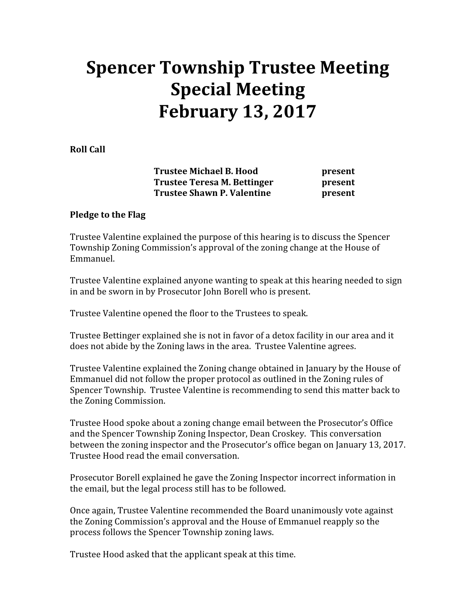## Spencer Township Trustee Meeting Special Meeting February 13, 2017

Roll Call

Trustee Michael B. Hood **present** Trustee Teresa M. Bettinger **present** Trustee Shawn P. Valentine **present** 

## Pledge to the Flag

Trustee Valentine explained the purpose of this hearing is to discuss the Spencer Township Zoning Commission's approval of the zoning change at the House of Emmanuel.

Trustee Valentine explained anyone wanting to speak at this hearing needed to sign in and be sworn in by Prosecutor John Borell who is present.

Trustee Valentine opened the floor to the Trustees to speak.

Trustee Bettinger explained she is not in favor of a detox facility in our area and it does not abide by the Zoning laws in the area. Trustee Valentine agrees.

Trustee Valentine explained the Zoning change obtained in January by the House of Emmanuel did not follow the proper protocol as outlined in the Zoning rules of Spencer Township. Trustee Valentine is recommending to send this matter back to the Zoning Commission.

Trustee Hood spoke about a zoning change email between the Prosecutor's Office and the Spencer Township Zoning Inspector, Dean Croskey. This conversation between the zoning inspector and the Prosecutor's office began on January 13, 2017. Trustee Hood read the email conversation.

Prosecutor Borell explained he gave the Zoning Inspector incorrect information in the email, but the legal process still has to be followed.

Once again, Trustee Valentine recommended the Board unanimously vote against the Zoning Commission's approval and the House of Emmanuel reapply so the process follows the Spencer Township zoning laws.

Trustee Hood asked that the applicant speak at this time.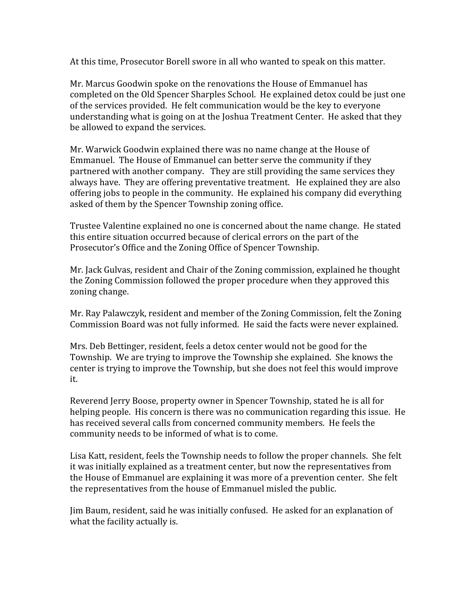At this time, Prosecutor Borell swore in all who wanted to speak on this matter.

Mr. Marcus Goodwin spoke on the renovations the House of Emmanuel has completed on the Old Spencer Sharples School. He explained detox could be just one of the services provided. He felt communication would be the key to everyone understanding what is going on at the Joshua Treatment Center. He asked that they be allowed to expand the services.

Mr. Warwick Goodwin explained there was no name change at the House of Emmanuel. The House of Emmanuel can better serve the community if they partnered with another company. They are still providing the same services they always have. They are offering preventative treatment. He explained they are also offering jobs to people in the community. He explained his company did everything asked of them by the Spencer Township zoning office.

Trustee Valentine explained no one is concerned about the name change. He stated this entire situation occurred because of clerical errors on the part of the Prosecutor's Office and the Zoning Office of Spencer Township.

Mr. Jack Gulvas, resident and Chair of the Zoning commission, explained he thought the Zoning Commission followed the proper procedure when they approved this zoning change.

Mr. Ray Palawczyk, resident and member of the Zoning Commission, felt the Zoning Commission Board was not fully informed. He said the facts were never explained.

Mrs. Deb Bettinger, resident, feels a detox center would not be good for the Township. We are trying to improve the Township she explained. She knows the center is trying to improve the Township, but she does not feel this would improve it.

Reverend Jerry Boose, property owner in Spencer Township, stated he is all for helping people. His concern is there was no communication regarding this issue. He has received several calls from concerned community members. He feels the community needs to be informed of what is to come.

Lisa Katt, resident, feels the Township needs to follow the proper channels. She felt it was initially explained as a treatment center, but now the representatives from the House of Emmanuel are explaining it was more of a prevention center. She felt the representatives from the house of Emmanuel misled the public.

Jim Baum, resident, said he was initially confused. He asked for an explanation of what the facility actually is.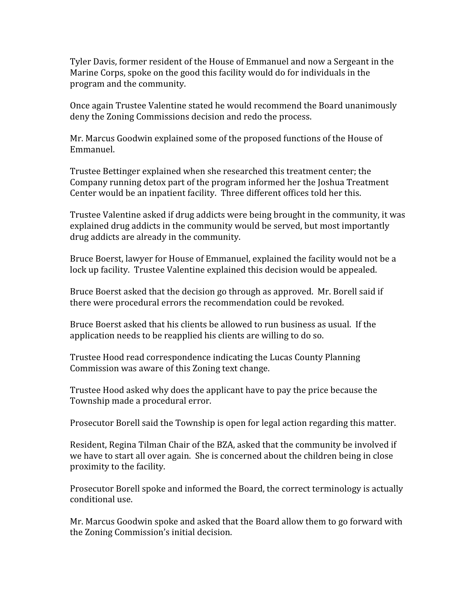Tyler Davis, former resident of the House of Emmanuel and now a Sergeant in the Marine Corps, spoke on the good this facility would do for individuals in the program and the community.

Once again Trustee Valentine stated he would recommend the Board unanimously deny the Zoning Commissions decision and redo the process.

Mr. Marcus Goodwin explained some of the proposed functions of the House of Emmanuel.

Trustee Bettinger explained when she researched this treatment center; the Company running detox part of the program informed her the Joshua Treatment Center would be an inpatient facility. Three different offices told her this.

Trustee Valentine asked if drug addicts were being brought in the community, it was explained drug addicts in the community would be served, but most importantly drug addicts are already in the community.

Bruce Boerst, lawyer for House of Emmanuel, explained the facility would not be a lock up facility. Trustee Valentine explained this decision would be appealed.

Bruce Boerst asked that the decision go through as approved. Mr. Borell said if there were procedural errors the recommendation could be revoked.

Bruce Boerst asked that his clients be allowed to run business as usual. If the application needs to be reapplied his clients are willing to do so.

Trustee Hood read correspondence indicating the Lucas County Planning Commission was aware of this Zoning text change.

Trustee Hood asked why does the applicant have to pay the price because the Township made a procedural error.

Prosecutor Borell said the Township is open for legal action regarding this matter.

Resident, Regina Tilman Chair of the BZA, asked that the community be involved if we have to start all over again. She is concerned about the children being in close proximity to the facility.

Prosecutor Borell spoke and informed the Board, the correct terminology is actually conditional use.

Mr. Marcus Goodwin spoke and asked that the Board allow them to go forward with the Zoning Commission's initial decision.